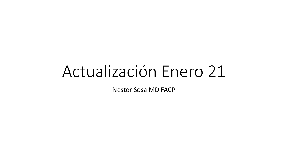# Actualización Enero 21

**Nestor Sosa MD FACP**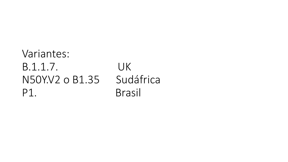### Variantes: B.1.1.7. UK N50Y.V2 o B1.35 Sudáfrica P1. Brasil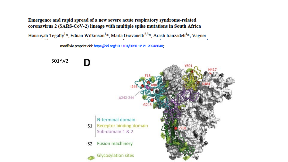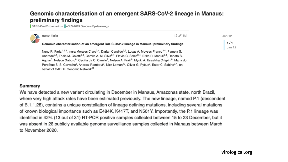### Genomic characterisation of an emergent SARS-CoV-2 lineage in Manaus: preliminary findings

SARS-CoV-2 coronavirus nCoV-2019 Genomic Epidemiology

| X | nuno_faria                                                                                                                                                                                                                                                                                                                                                                                                                                                                                                                                                                                                                                                                                                                                                                                                                             | $12 \nearrow 6d$ | Jan 12        |
|---|----------------------------------------------------------------------------------------------------------------------------------------------------------------------------------------------------------------------------------------------------------------------------------------------------------------------------------------------------------------------------------------------------------------------------------------------------------------------------------------------------------------------------------------------------------------------------------------------------------------------------------------------------------------------------------------------------------------------------------------------------------------------------------------------------------------------------------------|------------------|---------------|
|   | Genomic characterisation of an emergent SARS-CoV-2 lineage in Manaus: preliminary findings<br>Nuno R. Faria <sup>1,2,3</sup> , Ingra Morales Claro <sup>3,4</sup> , Darlan Candido <sup>2,3</sup> , Lucas A. Moyses Franco <sup>3,4</sup> , Pamela S.<br>Andrade <sup>3,4</sup> , Thais M. Coletti <sup>3,4</sup> , Camila A. M. Silva <sup>3,4</sup> , Flavia C. Sales <sup>3,4</sup> , Erika R. Manuli <sup>3,4</sup> , Renato S.<br>Aguiar <sup>5</sup> , Nelson Gaburo <sup>6</sup> , Cecília da C. Camilo <sup>7</sup> , Nelson A. Fraiji <sup>8</sup> , Myuki A. Esashika Crispim <sup>8</sup> , Maria do<br>Perpétuo S. S. Carvalho <sup>8</sup> , Andrew Rambaut <sup>9</sup> , Nick Loman <sup>10</sup> , Oliver G. Pybus <sup>2</sup> , Ester C. Sabino <sup>3,4</sup> , on<br>behalf of CADDE Genomic Network <sup>11</sup> |                  | 1/1<br>Jan 12 |
|   |                                                                                                                                                                                                                                                                                                                                                                                                                                                                                                                                                                                                                                                                                                                                                                                                                                        |                  |               |

#### Summary

We have detected a new variant circulating in December in Manaus, Amazonas state, north Brazil, where very high attack rates have been estimated previously. The new lineage, named P.1 (descendent of B.1.1.28), contains a unique constellation of lineage defining mutations, including several mutations of known biological importance such as E484K, K417T, and N501Y. Importantly, the P.1 lineage was identified in 42% (13 out of 31) RT-PCR positive samples collected between 15 to 23 December, but it was absent in 26 publicly available genome surveillance samples collected in Manaus between March to November 2020.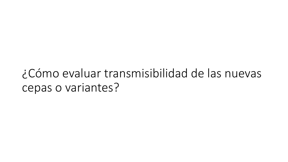## ¿Cómo evaluar transmisibilidad de las nuevas cepas o variantes?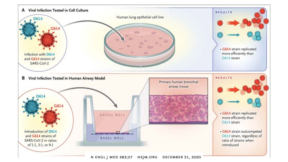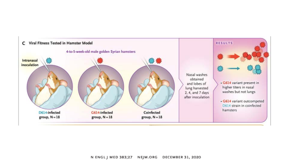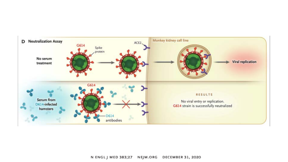

N ENGL J MED 383;27 NEJM.ORG **DECEMBER 31, 2020**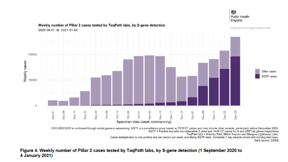

#### Weekly number of Pillar 2 cases tested by TaqPath labs, by S-gene detection

VOC-202012/01 is confirmed through whole genome sequencing. SGTF is a surveillance proxy based on PCR CT values and may include other variants, particularly before December 2020. SGTF = Positive test with non-detectable S gene and <= 30 CT values for N and ORF1ab genes respectively

TaqPath labs = Alderley Park, Milton Keynes and Glasgow Lighthouse Labs.

Cases deduplicated to one positive test per person per week, prioritising SGTF tests. Complete 7-day periods shown with moving start days. Data source: SGSS

#### Figure 4. Weekly number of Pillar 2 cases tested by TaqPath labs, by S-gene detection (1 September 2020 to 4 January 2021)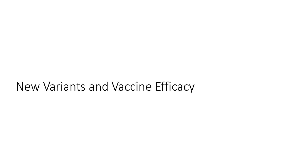## New Variants and Vaccine Efficacy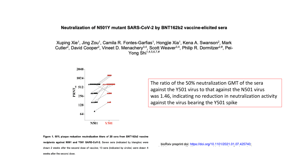#### Neutralization of N501Y mutant SARS-CoV-2 by BNT162b2 vaccine-elicited sera

Xuping Xie<sup>1</sup>, Jing Zou<sup>1</sup>, Camila R. Fontes-Garfias<sup>1</sup>, Hongjie Xia<sup>1</sup>, Kena A. Swanson<sup>2</sup>, Mark Cutler<sup>2</sup>, David Cooper<sup>2</sup>, Vineet D. Menachery<sup>3,4</sup>, Scott Weaver<sup>3,4</sup>, Philip R. Dormitzer<sup>2,#</sup>, Pei-Yong Shi<sup>1,4,5,6,7,#</sup>



The ratio of the 50% neutralization GMT of the sera against the Y501 virus to that against the N501 virus was 1.46, indicating no reduction in neutralization activity against the virus bearing the Y501 spike

Figure 1. 50% plaque reduction neutralization titers of 20 sera from BNT162b2 vaccine recipients against N501 and Y501 SARS-CoV-2. Seven sera (indicated by triangles) were drawn 2 weeks after the second dose of vaccine; 13 sera (indicated by circles) were drawn 4 weeks after the second dose.

bioRxiv preprint doi: https://doi.org/10.1101/2021.01.07.425740;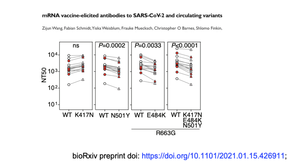#### mRNA vaccine-elicited antibodies to SARS-CoV-2 and circulating variants

Zijun Wang, Fabian Schmidt, Yiska Weisblum, Frauke Muecksch, Christopher O Barnes, Shlomo Finkin,



bioRxiv preprint doi: https://doi.org/10.1101/2021.01.15.426911;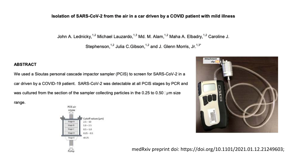#### Isolation of SARS-CoV-2 from the air in a car driven by a COVID patient with mild illness

John A. Lednicky,<sup>1,2</sup> Michael Lauzardo,<sup>1,3</sup> Md. M. Alam,<sup>1,2</sup> Maha A. Elbadry,<sup>1,2</sup> Caroline J.

Stephenson, <sup>1,2</sup> Julia C.Gibson, <sup>1,2</sup> and J. Glenn Morris, Jr.<sup>1,3\*</sup>

#### **ABSTRACT**

We used a Sioutas personal cascade impactor sampler (PCIS) to screen for SARS-CoV-2 in a car driven by a COVID-19 patient. SARS-CoV-2 was detectable at all PCIS stages by PCR and was cultured from the section of the sampler collecting particles in the 0.25 to 0.50  $\mu$ m size

range.





medRxiv preprint doi: https://doi.org/10.1101/2021.01.12.21249603;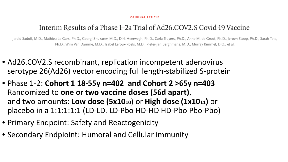#### **ORIGINAL ARTICLE**

### Interim Results of a Phase 1–2a Trial of Ad26.COV2.S Covid-19 Vaccine

Jerald Sadoff, M.D., Mathieu Le Gars, Ph.D., Georgi Shukarev, M.D., Dirk Heerwegh, Ph.D., Carla Truyers, Ph.D., Anne M. de Groot, Ph.D., Jeroen Stoop, Ph.D., Sarah Tete, Ph.D., Wim Van Damme, M.D., Isabel Leroux-Roels, M.D., Pieter-Jan Berghmans, M.D., Murray Kimmel, D.O., et al.

- Ad26.COV2.S recombinant, replication incompetent adenovirus serotype 26(Ad26) vector encoding full length-stabilized S-protein
- Phase 1-2: **Cohort 1 18-55y n=402 and Cohort 2 >65y n=403** Randomized to **one or two vaccine doses (56d apart)**, and two amounts: **Low dose (5x1010**) or **High dose (1x1011)** or placebo in a 1:1:1:1:1 (LD-LD. LD-Pbo HD-HD HD-Pbo Pbo-Pbo)
- Primary Endpoint: Safety and Reactogenicity
- Secondary Endpioint: Humoral and Cellular immunity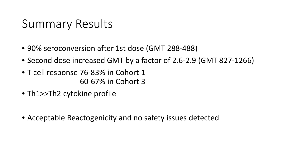## Summary Results

- 90% seroconversion after 1st dose (GMT 288-488)
- Second dose increased GMT by a factor of 2.6-2.9 (GMT 827-1266)
- T cell response 76-83% in Cohort 1 60-67% in Cohort 3
- Th1>>Th2 cytokine profile
- Acceptable Reactogenicity and no safety issues detected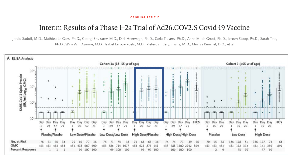#### **ORIGINAL ARTICLE**

### Interim Results of a Phase 1–2a Trial of Ad26.COV2.S Covid-19 Vaccine

Jerald Sadoff, M.D., Mathieu Le Gars, Ph.D., Georgi Shukarev, M.D., Dirk Heerwegh, Ph.D., Carla Truyers, Ph.D., Anne M. de Groot, Ph.D., Jeroen Stoop, Ph.D., Sarah Tete, Ph.D., Wim Van Damme, M.D., Isabel Leroux-Roels, M.D., Pieter-Jan Berghmans, M.D., Murray Kimmel, D.O., et al.

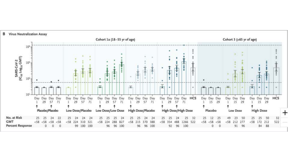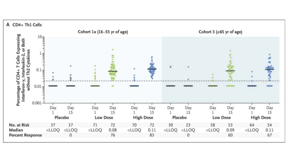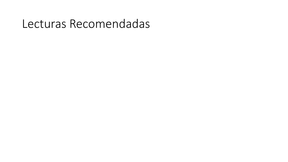## Lecturas Recomendadas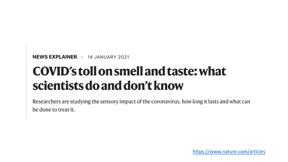NEWS EXPLAINER · 14 JANUARY 2021

# **COVID's toll on smell and taste: what** scientists do and don't know

Researchers are studying the sensory impact of the coronavirus, how long it lasts and what can be done to treat it.

[https://www.nature.com/articles](https://www.nature.com/articles/d41586-021-00055-6?utm_source=twitter&utm_medium=social&utm_)